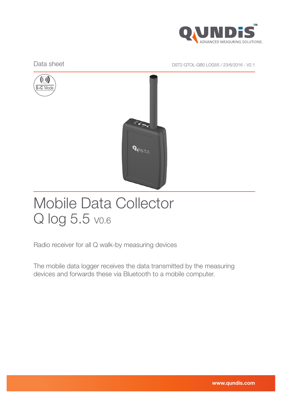

Data sheet Data sheet DST2-QTOL-GB0 LOG55 / 23/6/2016 - V2.1





# Mobile Data Collector Q log 5.5 vo.6

Radio receiver for all Q walk-by measuring devices

The mobile data logger receives the data transmitted by the measuring devices and forwards these via Bluetooth to a mobile computer.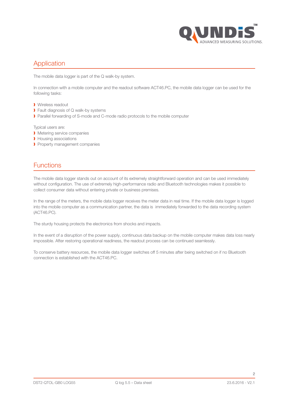

## Application

The mobile data logger is part of the Q walk-by system.

In connection with a mobile computer and the readout software ACT46.PC, the mobile data logger can be used for the following tasks:

- ❱ Wireless readout
- **I** Fault diagnosis of Q walk-by systems
- ▶ Parallel forwarding of S-mode and C-mode radio protocols to the mobile computer

Typical users are:

- ❱ Metering service companies
- **I** Housing associations
- **Property management companies**

## Functions

The mobile data logger stands out on account of its extremely straightforward operation and can be used immediately without configuration. The use of extremely high-performance radio and Bluetooth technologies makes it possible to collect consumer data without entering private or business premises.

In the range of the meters, the mobile data logger receives the meter data in real time. If the mobile data logger is logged into the mobile computer as a communication partner, the data is immediately forwarded to the data recording system (ACT46.PC).

The sturdy housing protects the electronics from shocks and impacts.

In the event of a disruption of the power supply, continuous data backup on the mobile computer makes data loss nearly impossible. After restoring operational readiness, the readout process can be continued seamlessly.

To conserve battery resources, the mobile data logger switches off 5 minutes after being switched on if no Bluetooth connection is established with the ACT46.PC.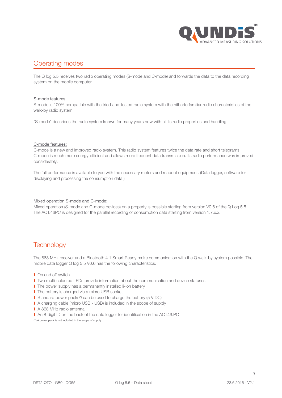

## Operating modes

The Q log 5.5 receives two radio operating modes (S-mode and C-mode) and forwards the data to the data recording system on the mobile computer.

#### S-mode features:

S-mode is 100% compatible with the tried-and-tested radio system with the hitherto familiar radio characteristics of the walk-by radio system.

"S-mode" describes the radio system known for many years now with all its radio properties and handling.

#### C-mode features:

C-mode is a new and improved radio system. This radio system features twice the data rate and short telegrams. C-mode is much more energy-efficient and allows more frequent data transmission. Its radio performance was improved considerably.

The full performance is available to you with the necessary meters and readout equipment. (Data logger, software for displaying and processing the consumption data.)

#### Mixed operation S-mode and C-mode:

Mixed operation (S-mode and C-mode devices) on a property is possible starting from version V0.6 of the Q Log 5.5. The ACT.46PC is designed for the parallel recording of consumption data starting from version 1.7.x.x.

## **Technology**

The 868 MHz receiver and a Bluetooth 4.1 Smart Ready make communication with the Q walk-by system possible. The mobile data logger Q log 5.5 V0.6 has the following characteristics:

- **I** On and off switch
- ❱ Two multi-coloured LEDs provide information about the communication and device statuses
- I The power supply has a permanently installed li-ion battery
- ▶ The battery is charged via a micro USB socket
- Standard power packs<sup>(\*)</sup> can be used to charge the battery (5 V DC)
- A charging cable (micro USB USB) is included in the scope of supply
- A 868 MHz radio antenna
- An 8-digit ID on the back of the data logger for identification in the ACT46.PC
- (\*) A power pack is not included in the scope of supply.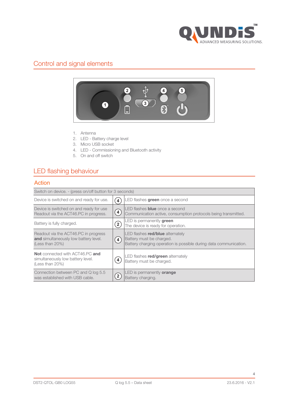

# Control and signal elements



- 1. Antenna
- 2. LED Battery charge level
- 3. Micro USB socket
- 4. LED Commissioning and Bluetooth activity
- 5. On and off switch

# LED flashing behaviour

### Action

| Switch on device. - (press on/off button for 3 seconds)                                          |                           |                                                                                                                                          |  |
|--------------------------------------------------------------------------------------------------|---------------------------|------------------------------------------------------------------------------------------------------------------------------------------|--|
| Device is switched on and ready for use.                                                         | $\overline{\mathbf{4}}$   | LED flashes green once a second                                                                                                          |  |
| Device is switched on and ready for use<br>Readout via the ACT46.PC in progress.                 | $\left( 4\right)$         | LED flashes <b>blue</b> once a second<br>Communication active, consumption protocols being transmitted.                                  |  |
| Battery is fully charged.                                                                        | $\mathbf{2}^{\mathbf{2}}$ | LED is permanently <b>green</b><br>The device is ready for operation.                                                                    |  |
| Readout via the ACT46.PC in progress<br>and simultaneously low battery level.<br>(Less than 20%) | $\left( 4 \right)$        | LED flashes <b>red/blue</b> alternately<br>Battery must be charged.<br>Battery charging operation is possible during data communication. |  |
| <b>Not</b> connected with ACT46.PC and<br>simultaneously low battery level.<br>(Less than 20%)   | $\overline{\mathbf{4}}$   | LED flashes red/green alternately<br>Battery must be charged.                                                                            |  |
| Connection between PC and Q log 5.5<br>was established with USB cable.                           | $\mathbf{2}^{\mathsf{T}}$ | LED is permanently <b>orange</b><br>Battery charging.                                                                                    |  |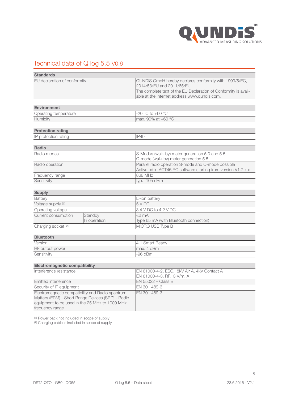

# Technical data of Q log 5.5 V0.6

| <b>Standards</b>                                                                                                                                                           |              |                                                                                                                                                                                                         |
|----------------------------------------------------------------------------------------------------------------------------------------------------------------------------|--------------|---------------------------------------------------------------------------------------------------------------------------------------------------------------------------------------------------------|
| EU declaration of conformity                                                                                                                                               |              | QUNDIS GmbH hereby declares conformity with 1999/5/EC,<br>2014/53/EU and 2011/65/EU.<br>The complete text of the EU Declaration of Conformity is avail-<br>able at the Internet address www.qundis.com. |
| <b>Environment</b>                                                                                                                                                         |              |                                                                                                                                                                                                         |
| Operating temperature                                                                                                                                                      |              | -20 °C to +60 °C                                                                                                                                                                                        |
| Humidity                                                                                                                                                                   |              | max. 90% at +60 °C                                                                                                                                                                                      |
| <b>Protection rating</b>                                                                                                                                                   |              |                                                                                                                                                                                                         |
| IP protection rating                                                                                                                                                       |              | IP40                                                                                                                                                                                                    |
|                                                                                                                                                                            |              |                                                                                                                                                                                                         |
| <b>Radio</b>                                                                                                                                                               |              |                                                                                                                                                                                                         |
| Radio modes                                                                                                                                                                |              | S-Modus (walk-by) meter generation 5.0 and 5.5<br>C-mode (walk-by) meter generation 5.5                                                                                                                 |
| Radio operation                                                                                                                                                            |              | Parallel radio operation S-mode and C-mode possible<br>Activated in ACT46.PC software starting from version V1.7.x.x                                                                                    |
| Frequency range                                                                                                                                                            |              | 868 MHz                                                                                                                                                                                                 |
| Sensitivity                                                                                                                                                                |              | typ. - 105 dBm                                                                                                                                                                                          |
|                                                                                                                                                                            |              |                                                                                                                                                                                                         |
| <b>Supply</b>                                                                                                                                                              |              |                                                                                                                                                                                                         |
| Battery                                                                                                                                                                    |              | Li-ion battery                                                                                                                                                                                          |
| Voltage supply (1)                                                                                                                                                         |              | 5 V DC                                                                                                                                                                                                  |
| Operating voltage                                                                                                                                                          |              | 3.4 V DC to 4.2 V DC                                                                                                                                                                                    |
| Current consumption                                                                                                                                                        | Standby      | $<$ 2 mA                                                                                                                                                                                                |
|                                                                                                                                                                            | In operation | Type 65 mA (with Bluetooth connection)                                                                                                                                                                  |
| Charging socket (2)                                                                                                                                                        |              | MICRO USB Type B                                                                                                                                                                                        |
| <b>Bluetooth</b>                                                                                                                                                           |              |                                                                                                                                                                                                         |
| Version                                                                                                                                                                    |              | 4.1 Smart Ready                                                                                                                                                                                         |
| HF output power                                                                                                                                                            |              | max. 4 dBm                                                                                                                                                                                              |
| Sensitivity                                                                                                                                                                |              | $-96$ dBm                                                                                                                                                                                               |
|                                                                                                                                                                            |              |                                                                                                                                                                                                         |
| <b>Electromagnetic compatibility</b>                                                                                                                                       |              |                                                                                                                                                                                                         |
| Interference resistance                                                                                                                                                    |              | EN 61000-4-2, ESC, 8kV Air A, 4kV Contact A<br>EN 61000-4-3, RF, 3 V/m, A                                                                                                                               |
| Emitted interference                                                                                                                                                       |              | EN 55022 - Class B                                                                                                                                                                                      |
| Security of IT equipment                                                                                                                                                   |              | EN 301 489-3                                                                                                                                                                                            |
| Electromagnetic compatibility and Radio spectrum<br>Matters (ERM) - Short Range Devices (SRD) - Radio<br>equipment to be used in the 25 MHz to 1000 MHz<br>frequency range |              | EN 301 489-3                                                                                                                                                                                            |

(1) Power pack not included in scope of supply

(2) Charging cable is included in scope of supply